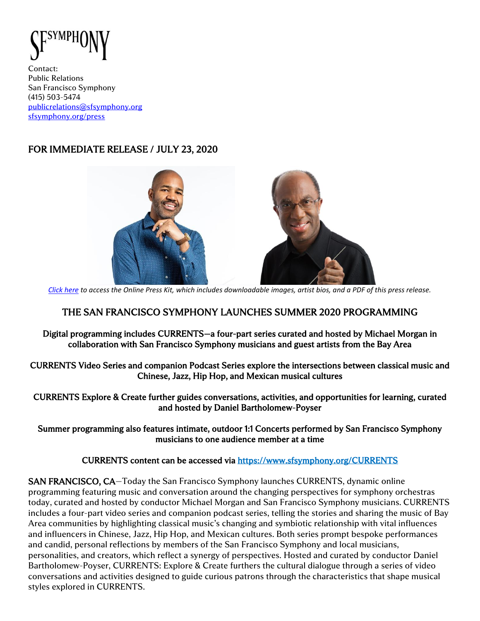

Contact: Public Relations San Francisco Symphony (415) 503-5474 [publicrelations@sfsymphony.org](mailto:publicrelations@sfsymphony.org) [sfsymphony.org/press](http://sfsymphony.org/press)

# FOR IMMEDIATE RELEASE / JULY 23, 2020



*[Click here](https://www.sfsymphony.org/About-SFS/Press-Room/Press-Kits) to access the Online Press Kit, which includes downloadable images, artist bios, and a PDF of this press release.*

## THE SAN FRANCISCO SYMPHONY LAUNCHES SUMMER 2020 PROGRAMMING

Digital programming includes CURRENTS—a four-part series curated and hosted by Michael Morgan in collaboration with San Francisco Symphony musicians and guest artists from the Bay Area

CURRENTS Video Series and companion Podcast Series explore the intersections between classical music and Chinese, Jazz, Hip Hop, and Mexican musical cultures

CURRENTS Explore & Create further guides conversations, activities, and opportunities for learning, curated and hosted by Daniel Bartholomew-Poyser

Summer programming also features intimate, outdoor 1:1 Concerts performed by San Francisco Symphony musicians to one audience member at a time

CURRENTS content can be accessed via<https://www.sfsymphony.org/CURRENTS>

SAN FRANCISCO, CA—Today the San Francisco Symphony launches CURRENTS, dynamic online programming featuring music and conversation around the changing perspectives for symphony orchestras today, curated and hosted by conductor Michael Morgan and San Francisco Symphony musicians. CURRENTS includes a four-part video series and companion podcast series, telling the stories and sharing the music of Bay Area communities by highlighting classical music's changing and symbiotic relationship with vital influences and influencers in Chinese, Jazz, Hip Hop, and Mexican cultures. Both series prompt bespoke performances and candid, personal reflections by members of the San Francisco Symphony and local musicians, personalities, and creators, which reflect a synergy of perspectives. Hosted and curated by conductor Daniel Bartholomew-Poyser, CURRENTS: Explore & Create furthers the cultural dialogue through a series of video conversations and activities designed to guide curious patrons through the characteristics that shape musical styles explored in CURRENTS.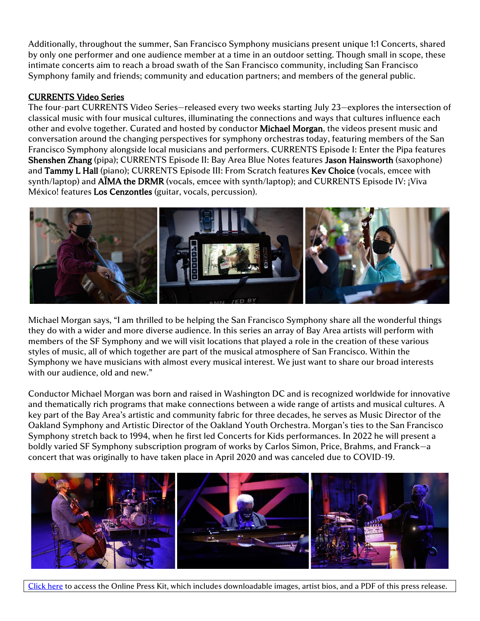Additionally, throughout the summer, San Francisco Symphony musicians present unique 1:1 Concerts, shared by only one performer and one audience member at a time in an outdoor setting. Though small in scope, these intimate concerts aim to reach a broad swath of the San Francisco community, including San Francisco Symphony family and friends; community and education partners; and members of the general public.

### CURRENTS Video Series

The four-part CURRENTS Video Series—released every two weeks starting July 23—explores the intersection of classical music with four musical cultures, illuminating the connections and ways that cultures influence each other and evolve together. Curated and hosted by conductor Michael Morgan, the videos present music and conversation around the changing perspectives for symphony orchestras today, featuring members of the San Francisco Symphony alongside local musicians and performers. CURRENTS Episode I: Enter the Pipa features Shenshen Zhang (pipa); CURRENTS Episode II: Bay Area Blue Notes features Jason Hainsworth (saxophone) and Tammy L Hall (piano); CURRENTS Episode III: From Scratch features Kev Choice (vocals, emcee with synth/laptop) and **AIMA the DRMR** (vocals, emcee with synth/laptop); and CURRENTS Episode IV: *¡Viva* México! features Los Cenzontles (guitar, vocals, percussion).



Michael Morgan says, "I am thrilled to be helping the San Francisco Symphony share all the wonderful things they do with a wider and more diverse audience. In this series an array of Bay Area artists will perform with members of the SF Symphony and we will visit locations that played a role in the creation of these various styles of music, all of which together are part of the musical atmosphere of San Francisco. Within the Symphony we have musicians with almost every musical interest. We just want to share our broad interests with our audience, old and new."

Conductor Michael Morgan was born and raised in Washington DC and is recognized worldwide for innovative and thematically rich programs that make connections between a wide range of artists and musical cultures. A key part of the Bay Area's artistic and community fabric for three decades, he serves as Music Director of the Oakland Symphony and Artistic Director of the Oakland Youth Orchestra. Morgan's ties to the San Francisco Symphony stretch back to 1994, when he first led Concerts for Kids performances. In 2022 he will present a boldly varied SF Symphony subscription program of works by Carlos Simon, Price, Brahms, and Franck—a concert that was originally to have taken place in April 2020 and was canceled due to COVID-19.



[Click here](https://www.sfsymphony.org/About-SFS/Press-Room/Press-Kits) to access the Online Press Kit, which includes downloadable images, artist bios, and a PDF of this press release.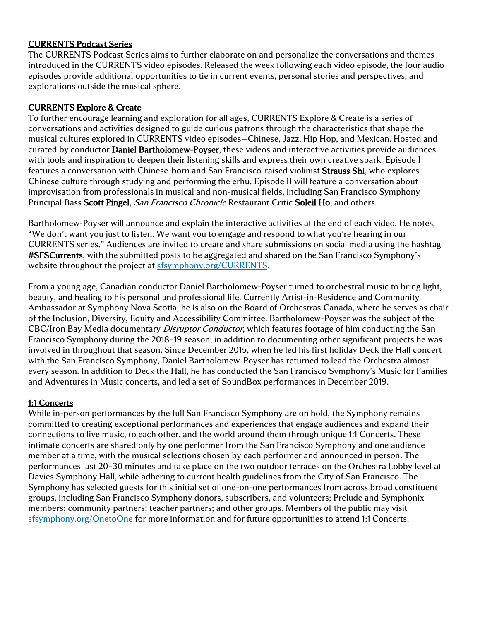### CURRENTS Podcast Series

The CURRENTS Podcast Series aims to further elaborate on and personalize the conversations and themes introduced in the CURRENTS video episodes. Released the week following each video episode, the four audio episodes provide additional opportunities to tie in current events, personal stories and perspectives, and explorations outside the musical sphere.

### CURRENTS Explore & Create

To further encourage learning and exploration for all ages, CURRENTS Explore & Create is a series of conversations and activities designed to guide curious patrons through the characteristics that shape the musical cultures explored in CURRENTS video episodes—Chinese, Jazz, Hip Hop, and Mexican. Hosted and curated by conductor Daniel Bartholomew-Poyser, these videos and interactive activities provide audiences with tools and inspiration to deepen their listening skills and express their own creative spark. Episode I features a conversation with Chinese-born and San Francisco-raised violinist Strauss Shi, who explores Chinese culture through studying and performing the erhu. Episode II will feature a conversation about improvisation from professionals in musical and non-musical fields, including San Francisco Symphony Principal Bass Scott Pingel, San Francisco Chronicle Restaurant Critic Soleil Ho, and others.

Bartholomew-Poyser will announce and explain the interactive activities at the end of each video. He notes, "We don't want you just to listen. We want you to engage and respond to what you're hearing in our CURRENTS series." Audiences are invited to create and share submissions on social media using the hashtag #SFSCurrents, with the submitted posts to be aggregated and shared on the San Francisco Symphony's website throughout the project at [sfsymphony.org/CURRENTS.](https://www.sfsymphony.org/CURRENTS)

From a young age, Canadian conductor Daniel Bartholomew-Poyser turned to orchestral music to bring light, beauty, and healing to his personal and professional life. Currently Artist-in-Residence and Community Ambassador at Symphony Nova Scotia, he is also on the Board of Orchestras Canada, where he serves as chair of the Inclusion, Diversity, Equity and Accessibility Committee. Bartholomew-Poyser was the subject of the CBC/Iron Bay Media documentary *Disruptor Conductor*, which features footage of him conducting the San Francisco Symphony during the 2018–19 season, in addition to documenting other significant projects he was involved in throughout that season. Since December 2015, when he led his first holiday Deck the Hall concert with the San Francisco Symphony, Daniel Bartholomew-Poyser has returned to lead the Orchestra almost every season. In addition to Deck the Hall, he has conducted the San Francisco Symphony's Music for Families and Adventures in Music concerts, and led a set of SoundBox performances in December 2019.

### 1:1 Concerts

While in-person performances by the full San Francisco Symphony are on hold, the Symphony remains committed to creating exceptional performances and experiences that engage audiences and expand their connections to live music, to each other, and the world around them through unique 1:1 Concerts. These intimate concerts are shared only by one performer from the San Francisco Symphony and one audience member at a time, with the musical selections chosen by each performer and announced in person. The performances last 20–30 minutes and take place on the two outdoor terraces on the Orchestra Lobby level at Davies Symphony Hall, while adhering to current health guidelines from the City of San Francisco. The Symphony has selected guests for this initial set of one-on-one performances from across broad constituent groups, including San Francisco Symphony donors, subscribers, and volunteers; Prelude and Symphonix members; community partners; teacher partners; and other groups. Members of the public may visit [sfsymphony.org/OnetoOne](https://www.sfsymphony.org/OnetoOne) for more information and for future opportunities to attend 1:1 Concerts.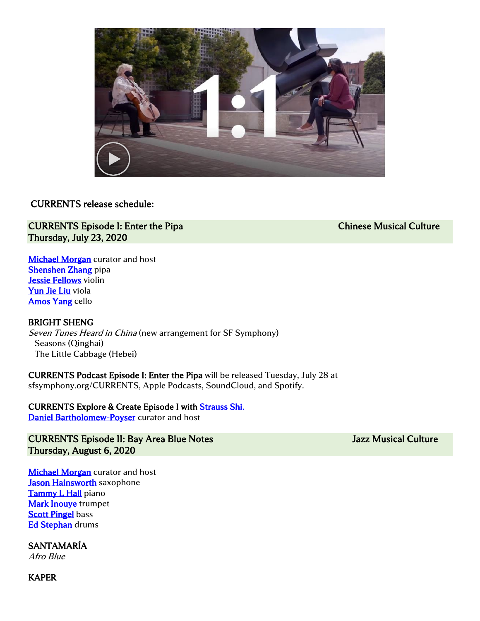

### CURRENTS release schedule**:**

### CURRENTS Episode I: Enter the Pipa Chinese Musical Culture Chinese Musical Culture Thursday, July 23, 2020

**Michael Morgan** curator and host [Shenshen Zhang](http://www.shenshenzhang.com/?page_id=92) pipa [Jessie Fellows](http://www.sfsymphony.org/Data/Event-Data/Artists/F/Fellows-Jessie) violin [Yun Jie Liu](https://www.sfsymphony.org/Data/Event-Data/Artists/L/Yun-Jie-Liu) viola [Amos Yang](https://www.sfsymphony.org/Data/Event-Data/Artists/Y/Amos-Yang) cello

### BRIGHT SHENG

Seven Tunes Heard in China (new arrangement for SF Symphony) Seasons (Qinghai) The Little Cabbage (Hebei)

CURRENTS Podcast Episode I: Enter the Pipa will be released Tuesday, July 28 at sfsymphony.org/CURRENTS, Apple Podcasts, SoundCloud, and Spotify.

CURRENTS Explore & Create Episode I wit[h Strauss Shi.](https://www.straussshi.com/home#about-strauss) [Daniel Bartholomew-Poyser](https://www.danielbartholomewpoyser.com/bio) curator and host

CURRENTS Episode II: Bay Area Blue Notes Jazz Musical Culture Thursday, August 6, 2020

**Michael Morgan** curator and host [Jason Hainsworth](http://www.jasonhainsworthmusic.com/bio) saxophone [Tammy L Hall](http://www.tammyhall.com/bio.html) piano [Mark Inouye](https://www.sfsymphony.org/Data/Event-Data/Artists/I/Mark-Inouye) trumpet **[Scott Pingel](https://www.sfsymphony.org/Data/Event-Data/Artists/P/Scott-Pingel) bass** [Ed Stephan](https://www.sfsymphony.org/Data/Event-Data/Artists/S/Ed-Stephan) drums

SANTAMARÍA

Afro Blue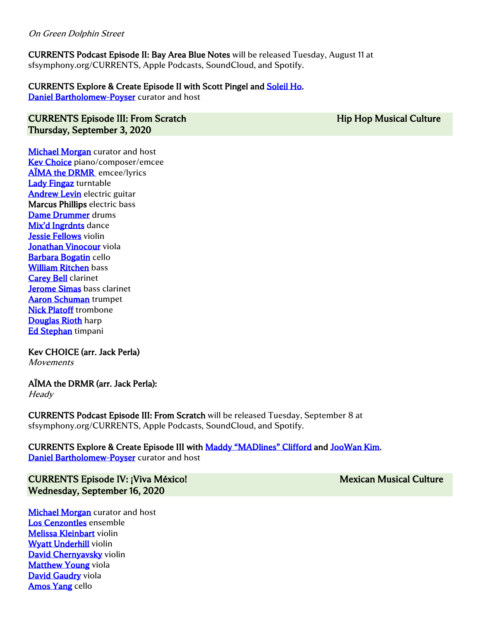### On Green Dolphin Street

CURRENTS Podcast Episode II: Bay Area Blue Notes will be released Tuesday, August 11 at sfsymphony.org/CURRENTS, Apple Podcasts, SoundCloud, and Spotify.

### CURRENTS Explore & Create Episode II with Scott Pingel and [Soleil Ho.](https://soleilho.com/)

[Daniel Bartholomew-Poyser](https://www.danielbartholomewpoyser.com/bio) curator and host

### CURRENTS Episode III: From Scratch **Hip Hop Musical Culture** Hip Hop Musical Culture Thursday, September 3, 2020

**Michael Morgan** curator and host [Kev Choice](https://kevchoice.wordpress.com/about/) piano/composer/emcee **AÏMA the DRMR** emcee/lyrics [Lady Fingaz](http://ladyfingaz.com/) turntable [Andrew Levin](http://andrewlevinmusic.com/) electric guitar Marcus Phillips electric bass [Dame Drummer](http://damedrummer.com/) drums [Mix'd Ingrdnts](http://mixdingrdnts.com/) dance [Jessie Fellows](https://www.sfsymphony.org/Data/Event-Data/Artists/F/Currents-Fellows-Jessie) violin [Jonathan Vinocour](https://www.sfsymphony.org/Data/Event-Data/Artists/V/Jonathan-Vinocour) viola [Barbara Bogatin](https://www.sfsymphony.org/Data/Event-Data/Artists/B/Barbara-Bogatin) cello [William Ritchen](https://www.sfsymphony.org/Data/Event-Data/Artists/R/William-Ritchen) bass **Carey Bell** clarinet [Jerome Simas](https://www.sfsymphony.org/Data/Event-Data/Artists/S/Jerome-Simas) bass clarinet [Aaron Schuman](https://www.sfsymphony.org/Data/Event-Data/Artists/S/Aaron-Schuman) trumpet [Nick Platoff](https://www.sfsymphony.org/Data/Event-Data/Artists/P/Nick-Platoff) trombone [Douglas Rioth](https://www.sfsymphony.org/Data/Event-Data/Artists/R/Douglas-Rioth) harp **[Ed Stephan](https://www.sfsymphony.org/Data/Event-Data/Artists/S/Ed-Stephan)** timpani

# Kev CHOICE (arr. Jack Perla)

**Movements** 

# AÏMA the DRMR (arr. Jack Perla):

**Heady** 

CURRENTS Podcast Episode III: From Scratch will be released Tuesday, September 8 at sfsymphony.org/CURRENTS, Apple Podcasts, SoundCloud, and Spotify.

### CURRENTS Explore & Create Episode III with [Maddy "MADlines" Clifford](http://madlinesinfo.com/) and [JooWan Kim.](http://ensemblemiknawooj.com/) [Daniel Bartholomew-Poyser](https://www.danielbartholomewpoyser.com/bio) curator and host

CURRENTS Episode IV: ¡Viva México! CURRENTS Episode IV: ¡Viva México! Wednesday, September 16, 2020

**Michael Morgan** curator and host [Los Cenzontles](https://www.loscenzontles.com/band) ensemble [Melissa Kleinbart](https://www.sfsymphony.org/Data/Event-Data/Artists/K/Melissa-Kleinbart) violin [Wyatt Underhill](https://www.sfsymphony.org/Data/Event-Data/Artists/U/Wyatt-Underhill) violin [David Chernyavsky](https://www.sfsymphony.org/Data/Event-Data/Artists/C/David-Chernyavsky-violin) violin **[Matthew Young](https://www.sfsymphony.org/Data/Event-Data/Artists/Y/Matthew-Young) viola** [David Gaudry](https://www.sfsymphony.org/Data/Event-Data/Artists/G/David-Gaudry) viola [Amos Yang](https://www.sfsymphony.org/Data/Event-Data/Artists/Y/Amos-Yang) cello